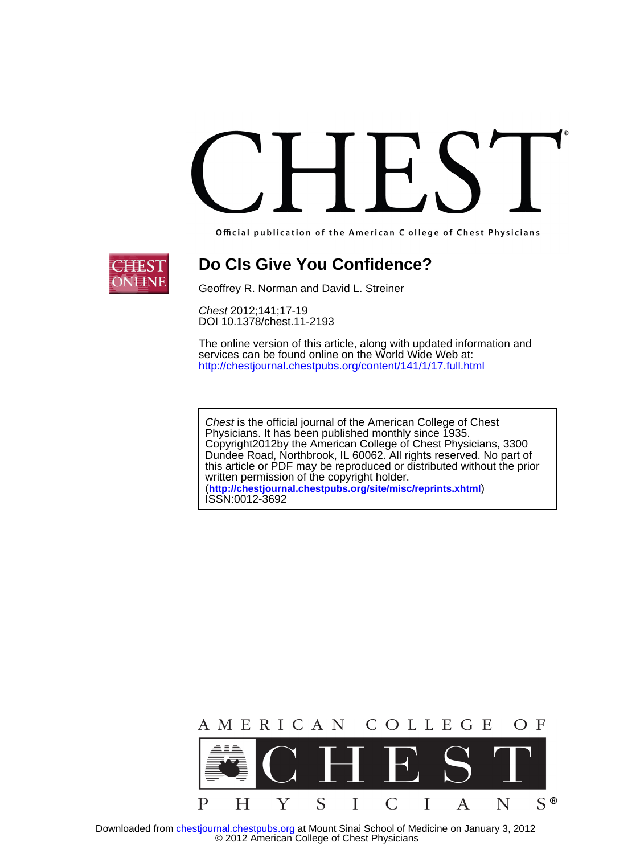Official publication of the American C ollege of Chest Physicians



## **Do CIs Give You Confidence?**

Geoffrey R. Norman and David L. Streiner

DOI 10.1378/chest.11-2193 Chest 2012;141;17-19

<http://chestjournal.chestpubs.org/content/141/1/17.full.html> services can be found online on the World Wide Web at: The online version of this article, along with updated information and

ISSN:0012-3692 (**<http://chestjournal.chestpubs.org/site/misc/reprints.xhtml>**) written permission of the copyright holder. this article or PDF may be reproduced or distributed without the prior Dundee Road, Northbrook, IL 60062. All rights reserved. No part of Copyright2012by the American College of Chest Physicians, 3300 Physicians. It has been published monthly since 1935. Chest is the official journal of the American College of Chest



 © 2012 American College of Chest Physicians Downloaded from [chestjournal.chestpubs.org](http://chestjournal.chestpubs.org/) at Mount Sinai School of Medicine on January 3, 2012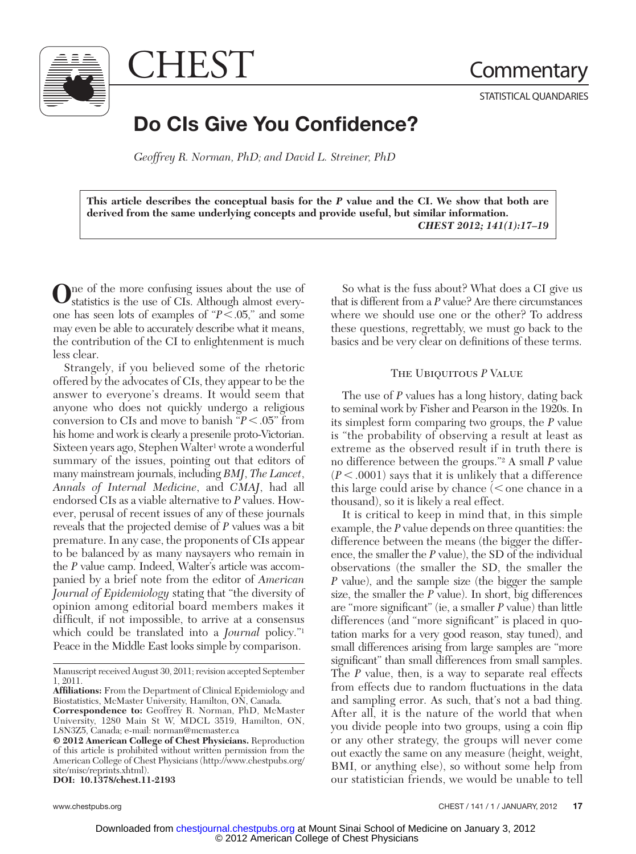

CHEST Commentary

STATISTICAL QUANDARIES

# **Do CIs Give You Confidence?**

*Geoffrey R. Norman, PhD; and David L. Streiner, PhD* 

**This article describes the conceptual basis for the** *P* **value and the CI. We show that both are derived from the same underlying concepts and provide useful, but similar information.**   *CHEST 2012; 141(1):17–19* 

**O**ne of the more confusing issues about the use of statistics is the use of CIs. Although almost everyone has seen lots of examples of " $P < .05$ ," and some may even be able to accurately describe what it means, the contribution of the CI to enlightenment is much less clear.

 Strangely, if you believed some of the rhetoric offered by the advocates of CIs, they appear to be the answer to everyone's dreams. It would seem that anyone who does not quickly undergo a religious conversion to CIs and move to banish " $P < .05$ " from his home and work is clearly a presenile proto-Victorian. Sixteen years ago, Stephen Walter<sup>1</sup> wrote a wonderful summary of the issues, pointing out that editors of many mainstream journals, including *BMJ* , *The Lancet* , Annals of Internal Medicine, and *CMAJ*, had all endorsed CIs as a viable alternative to *P* values. However, perusal of recent issues of any of these journals reveals that the projected demise of *P* values was a bit premature. In any case, the proponents of CIs appear to be balanced by as many naysayers who remain in the *P* value camp. Indeed, Walter's article was accompanied by a brief note from the editor of *American Journal of Epidemiology* stating that "the diversity of opinion among editorial board members makes it difficult, if not impossible, to arrive at a consensus which could be translated into a *Journal* policy."<sup>1</sup> Peace in the Middle East looks simple by comparison.

 Manuscript received August 30, 2011; revision accepted September 1, 2011.

**DOI: 10.1378/chest.11-2193** 

 So what is the fuss about? What does a CI give us that is different from a *P* value? Are there circumstances where we should use one or the other? To address these questions, regrettably, we must go back to the basics and be very clear on definitions of these terms.

### The Ubiquitous *P* Value

 The use of *P* values has a long history, dating back to seminal work by Fisher and Pearson in the 1920s. In its simplest form comparing two groups, the *P* value is "the probability of observing a result at least as extreme as the observed result if in truth there is no difference between the groups."<sup>2</sup> A small *P* value  $(P < .0001)$  says that it is unlikely that a difference this large could arise by chance  $\zeta$  one chance in a thousand), so it is likely a real effect.

 It is critical to keep in mind that, in this simple example, the *P* value depends on three quantities: the difference between the means (the bigger the difference, the smaller the *P* value), the SD of the individual observations (the smaller the SD, the smaller the *P* value), and the sample size (the bigger the sample size, the smaller the *P* value). In short, big differences are "more significant" (ie, a smaller *P* value) than little differences (and "more significant" is placed in quotation marks for a very good reason, stay tuned), and small differences arising from large samples are "more significant" than small differences from small samples. The *P* value, then, is a way to separate real effects from effects due to random fluctuations in the data and sampling error. As such, that's not a bad thing. After all, it is the nature of the world that when you divide people into two groups, using a coin flip or any other strategy, the groups will never come out exactly the same on any measure (height, weight, BMI, or anything else), so without some help from our statistician friends, we would be unable to tell

Affiliations: From the Department of Clinical Epidemiology and Biostatistics, McMaster University, Hamilton, ON, Canada.

**Correspondence to:** Geoffrey R. Norman, PhD, McMaster University, 1280 Main St W, MDCL 3519, Hamilton, ON, L8N3Z5, Canada; e-mail[: norman@mcmaster.ca](mailto:norman@mcmaster.ca) 

**<sup>© 2012</sup> American College of Chest Physicians.** Reproduction of this article is prohibited without written permission from the American College of Chest Physicians (http://www.chestpubs.org/ site/misc/reprints.xhtml).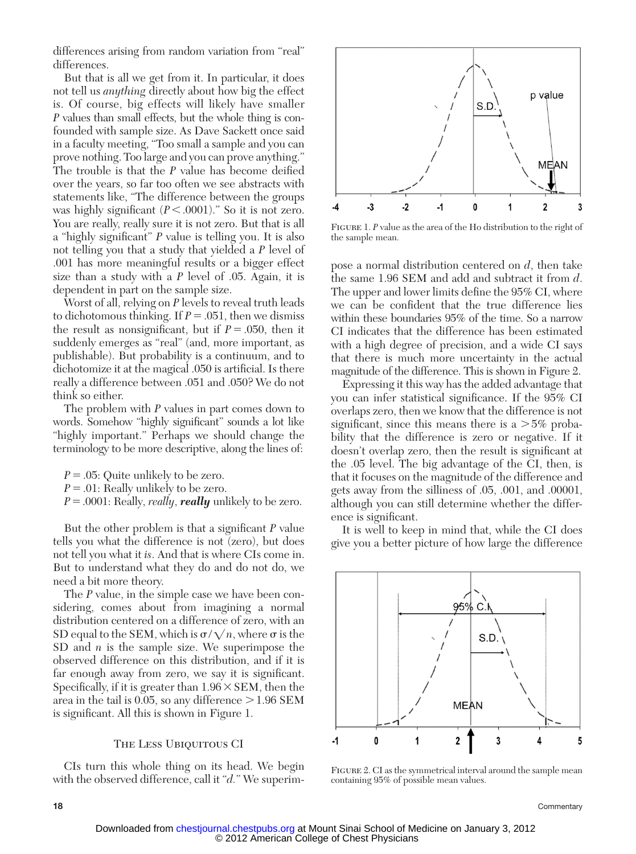differences arising from random variation from "real" differences.

 But that is all we get from it. In particular, it does not tell us *anything* directly about how big the effect is. Of course, big effects will likely have smaller *P* values than small effects, but the whole thing is confounded with sample size. As Dave Sackett once said in a faculty meeting, "Too small a sample and you can prove nothing. Too large and you can prove anything." The trouble is that the *P* value has become deified over the years, so far too often we see abstracts with statements like, "The difference between the groups was highly significant  $(P < .0001)$ ." So it is not zero. You are really, really sure it is not zero. But that is all a "highly significant" *P* value is telling you. It is also not telling you that a study that yielded a *P* level of .001 has more meaningful results or a bigger effect size than a study with a *P* level of .05. Again, it is dependent in part on the sample size.

 Worst of all, relying on *P* levels to reveal truth leads to dichotomous thinking. If  $P = .051$ , then we dismiss the result as nonsignificant, but if  $P = .050$ , then it suddenly emerges as "real" (and, more important, as publishable). But probability is a continuum, and to dichotomize it at the magical  $.050$  is artificial. Is there really a difference between .051 and .050? We do not think so either.

 The problem with *P* values in part comes down to words. Somehow "highly significant" sounds a lot like "highly important." Perhaps we should change the terminology to be more descriptive, along the lines of:

- $P = 0.05$ : Quite unlikely to be zero.
- $P = 0.01$ : Really unlikely to be zero.
- $P = .0001$ : Really, *really*, *really* unlikely to be zero.

But the other problem is that a significant *P* value tells you what the difference is not (zero), but does not tell you what it *is*. And that is where CIs come in. But to understand what they do and do not do, we need a bit more theory.

 The *P* value, in the simple case we have been considering, comes about from imagining a normal distribution centered on a difference of zero, with an SD equal to the SEM, which is  $\sigma / \sqrt{n}$ , where  $\sigma$  is the SD and *n* is the sample size. We superimpose the observed difference on this distribution, and if it is far enough away from zero, we say it is significant. Specifically, if it is greater than  $1.96 \times SEM$ , then the area in the tail is 0.05, so any difference  $>1.96$  SEM is significant. All this is shown in Figure 1.

### The Less Ubiquitous CI

 CIs turn this whole thing on its head. We begin with the observed difference, call it "d." We superim-



FIGURE 1. *P* value as the area of the Ho distribution to the right of the sample mean.

pose a normal distribution centered on  $d$ , then take the same 1.96 SEM and add and subtract it from *d* . The upper and lower limits define the 95% CI, where we can be confident that the true difference lies within these boundaries 95% of the time. So a narrow CI indicates that the difference has been estimated with a high degree of precision, and a wide CI says that there is much more uncertainty in the actual magnitude of the difference. This is shown in Figure 2.

 Expressing it this way has the added advantage that you can infer statistical significance. If the 95% CI overlaps zero, then we know that the difference is not significant, since this means there is a  $>5\%$  probability that the difference is zero or negative. If it doesn't overlap zero, then the result is significant at the .05 level. The big advantage of the CI, then, is that it focuses on the magnitude of the difference and gets away from the silliness of .05, .001, and .00001, although you can still determine whether the difference is significant.

 It is well to keep in mind that, while the CI does give you a better picture of how large the difference



FIGURE 2. CI as the symmetrical interval around the sample mean containing 95% of possible mean values.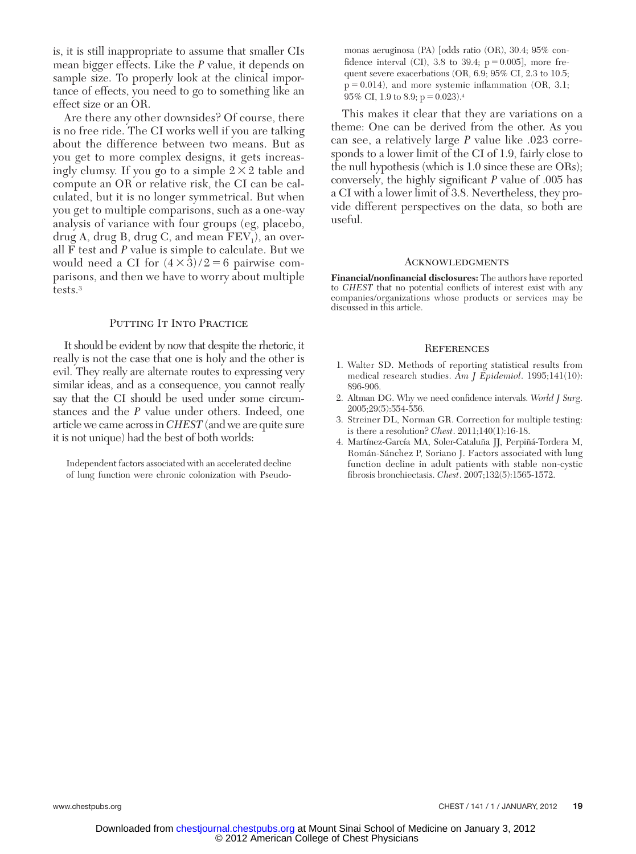is, it is still inappropriate to assume that smaller CIs mean bigger effects. Like the *P* value, it depends on sample size. To properly look at the clinical importance of effects, you need to go to something like an effect size or an OR.

 Are there any other downsides? Of course, there is no free ride. The CI works well if you are talking about the difference between two means. But as you get to more complex designs, it gets increasingly clumsy. If you go to a simple  $2 \times 2$  table and compute an OR or relative risk, the CI can be calculated, but it is no longer symmetrical. But when you get to multiple comparisons, such as a one-way analysis of variance with four groups (eg, placebo, drug A, drug B, drug C, and mean  $FEV<sub>1</sub>$ ), an overall F test and *P* value is simple to calculate. But we would need a CI for  $(4 \times 3)/2 = 6$  pairwise comparisons, and then we have to worry about multiple tests. 3

### PUTTING IT INTO PRACTICE

 It should be evident by now that despite the rhetoric, it really is not the case that one is holy and the other is evil. They really are alternate routes to expressing very similar ideas, and as a consequence, you cannot really say that the CI should be used under some circumstances and the *P* value under others. Indeed, one article we came across in *CHEST* (and we are quite sure it is not unique) had the best of both worlds:

 Independent factors associated with an accelerated decline of lung function were chronic colonization with Pseudo-

monas aeruginosa (PA) [odds ratio (OR), 30.4; 95% confidence interval (CI), 3.8 to 39.4;  $p = 0.005$ ], more frequent severe exacerbations (OR, 6.9; 95% CI, 2.3 to 10.5;  $p = 0.014$ ), and more systemic inflammation (OR, 3.1; 95% CI, 1.9 to 8.9;  $p = 0.023$ ).<sup>4</sup>

 This makes it clear that they are variations on a theme: One can be derived from the other. As you can see, a relatively large *P* value like .023 corresponds to a lower limit of the CI of 1.9, fairly close to the null hypothesis (which is 1.0 since these are ORs); conversely, the highly significant *P* value of .005 has a CI with a lower limit of 3.8. Nevertheless, they provide different perspectives on the data, so both are useful.

#### **ACKNOWLEDGMENTS**

Financial/nonfinancial disclosures: The authors have reported to CHEST that no potential conflicts of interest exist with any companies/organizations whose products or services may be discussed in this article.

#### **REFERENCES**

- 1. Walter SD. Methods of reporting statistical results from medical research studies. Am *J Epidemiol*. 1995;141(10): 896-906.
- 2. Altman DG. Why we need confidence intervals. *World J Surg*. 2005;29(5):554-556.
- 3. Streiner DL, Norman GR. Correction for multiple testing: is there a resolution? *Chest*. 2011;140(1):16-18.
- 4. Martínez-García MA, Soler-Cataluña JJ, Perpiñá-Tordera M, Román-Sánchez P, Soriano J. Factors associated with lung function decline in adult patients with stable non-cystic fibrosis bronchiectasis. *Chest*. 2007;132(5):1565-1572.